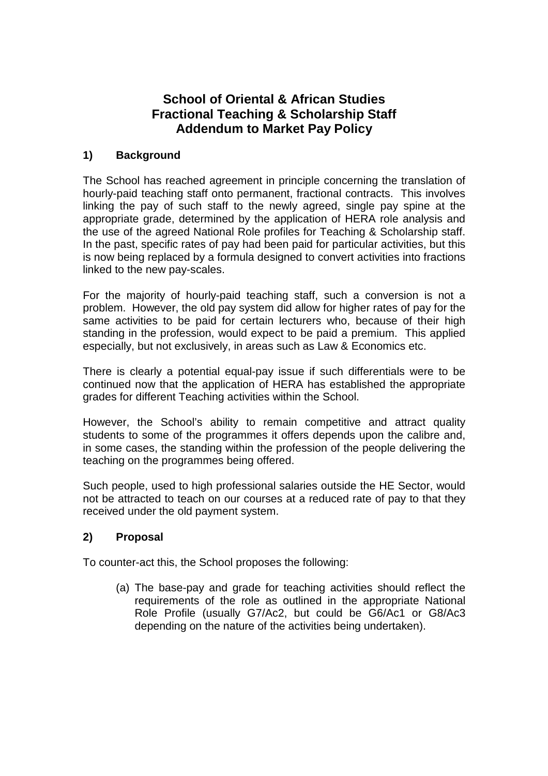## **School of Oriental & African Studies Fractional Teaching & Scholarship Staff Addendum to Market Pay Policy**

## **1) Background**

The School has reached agreement in principle concerning the translation of hourly-paid teaching staff onto permanent, fractional contracts. This involves linking the pay of such staff to the newly agreed, single pay spine at the appropriate grade, determined by the application of HERA role analysis and the use of the agreed National Role profiles for Teaching & Scholarship staff. In the past, specific rates of pay had been paid for particular activities, but this is now being replaced by a formula designed to convert activities into fractions linked to the new pay-scales.

For the majority of hourly-paid teaching staff, such a conversion is not a problem. However, the old pay system did allow for higher rates of pay for the same activities to be paid for certain lecturers who, because of their high standing in the profession, would expect to be paid a premium. This applied especially, but not exclusively, in areas such as Law & Economics etc.

There is clearly a potential equal-pay issue if such differentials were to be continued now that the application of HERA has established the appropriate grades for different Teaching activities within the School.

However, the School's ability to remain competitive and attract quality students to some of the programmes it offers depends upon the calibre and, in some cases, the standing within the profession of the people delivering the teaching on the programmes being offered.

Such people, used to high professional salaries outside the HE Sector, would not be attracted to teach on our courses at a reduced rate of pay to that they received under the old payment system.

## **2) Proposal**

To counter-act this, the School proposes the following:

(a) The base-pay and grade for teaching activities should reflect the requirements of the role as outlined in the appropriate National Role Profile (usually G7/Ac2, but could be G6/Ac1 or G8/Ac3 depending on the nature of the activities being undertaken).